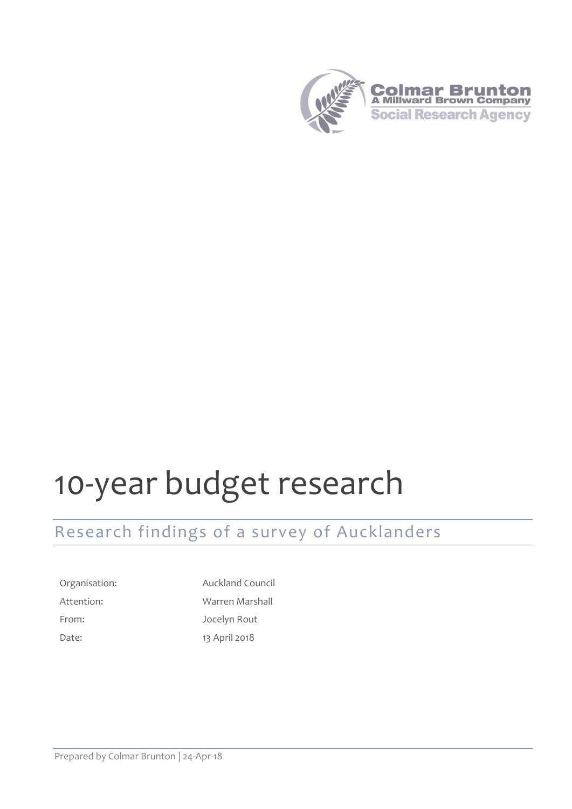

# 10-year budget research

# Research findings of a survey of Aucklanders

From: Jocelyn Rout Date: 13 April 2018

Organisation: Auckland Council Attention: Warren Marshall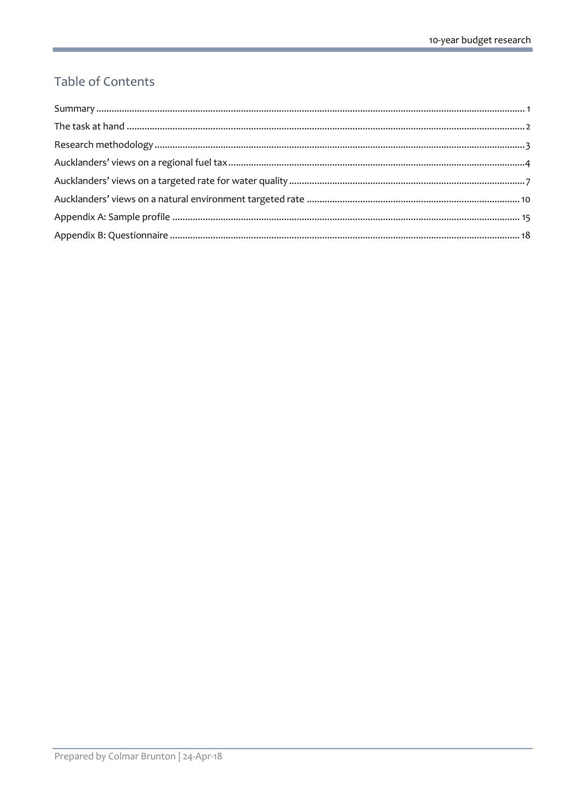### Table of Contents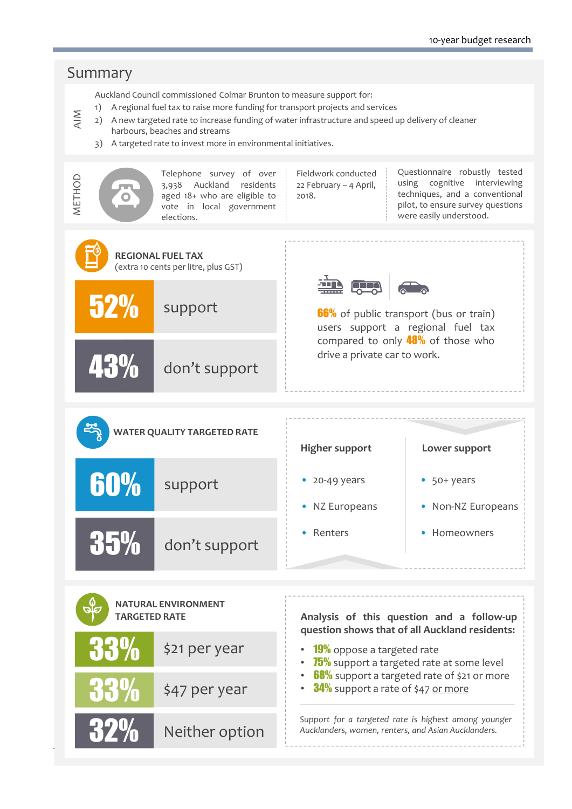#### <span id="page-2-1"></span><span id="page-2-0"></span>Summary Auckland Council commissioned Colmar Brunton to measure support for: 1) A regional fuel tax to raise more funding for transport projects and services AIM 2) A new targeted rate to increase funding of water infrastructure and speed up delivery of cleaner harbours, beaches and streams 3) A targeted rate to invest more in environmental initiatives. Questionnaire robustly tested Telephone survey of over Fieldwork conducted METHOD using cognitive interviewing 22 February – 4 April, 3,938 Auckland residents techniques, and <sup>a</sup> conventional aged 18+ who are eligible to 2018. pilot, to ensure survey questions vote in local government were easily understood. elections. **REGIONAL FUEL TAX**  (extra 10 cents per litre, plus GST) in 55 52% support **66%** of public transport (bus or train) users suppor<sup>t</sup> <sup>a</sup> regional fuel tax compared to only  $48\%$  of those who drive <sup>a</sup> private car to work. 43% don't suppor<sup>t</sup> **WATER QUALITY TARGETED RATE Higher support Lower support** 60% support • 20-49 years • 50+ years NZ Europeans • Non-NZ Europeans •• Renters • Homeowners 35% don't suppor<sup>t</sup> **NATURAL ENVIRONMENT TARGETED RATE Analysis of this question and <sup>a</sup> follow-up question shows that of all Auckland residents:** 33% \$21 per year **19%** oppose a targeted rate ••  $\sqrt{75\%}$  support a targeted rate at some level • 68% support a targeted rate of \$21 <u>or more</u> 33% • 34% support a rate of \$47 <u>or more</u> \$47 per year *Support for <sup>a</sup> targeted rate is highest among younger* 32% Neither option *Aucklanders, women, renters, and Asian Aucklanders.*

Summary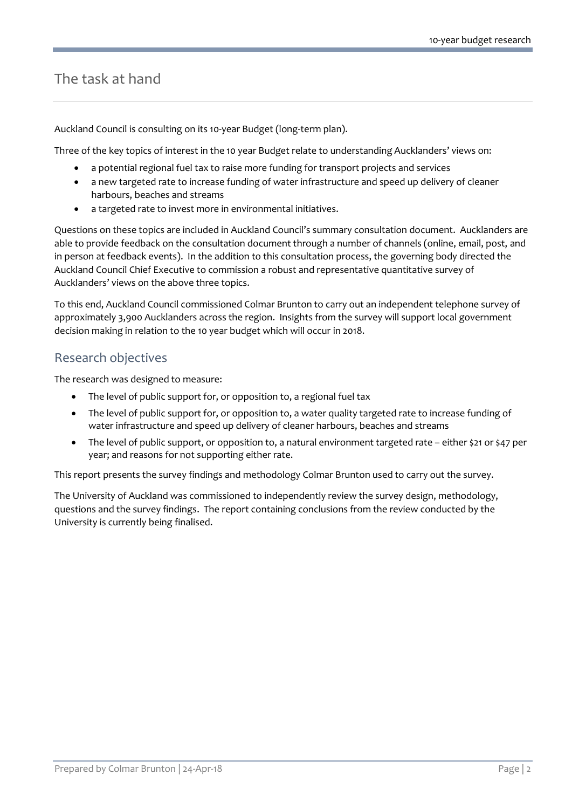### The task at hand

Auckland Council is consulting on its 10-year Budget (long-term plan).

Three of the key topics of interest in the 10 year Budget relate to understanding Aucklanders' views on:

- a potential regional fuel tax to raise more funding for transport projects and services
- a new targeted rate to increase funding of water infrastructure and speed up delivery of cleaner harbours, beaches and streams
- a targeted rate to invest more in environmental initiatives.

Questions on these topics are included in Auckland Council's summary consultation document. Aucklanders are able to provide feedback on the consultation document through a number of channels (online, email, post, and in person at feedback events). In the addition to this consultation process, the governing body directed the Auckland Council Chief Executive to commission a robust and representative quantitative survey of Aucklanders' views on the above three topics.

To this end, Auckland Council commissioned Colmar Brunton to carry out an independent telephone survey of approximately 3,900 Aucklanders across the region. Insights from the survey will support local government decision making in relation to the 10 year budget which will occur in 2018.

### Research objectives

The research was designed to measure:

- The level of public support for, or opposition to, a regional fuel tax
- The level of public support for, or opposition to, a water quality targeted rate to increase funding of water infrastructure and speed up delivery of cleaner harbours, beaches and streams
- The level of public support, or opposition to, a natural environment targeted rate either \$21 or \$47 per year; and reasons for not supporting either rate.

This report presents the survey findings and methodology Colmar Brunton used to carry out the survey.

The University of Auckland was commissioned to independently review the survey design, methodology, questions and the survey findings. The report containing conclusions from the review conducted by the University is currently being finalised.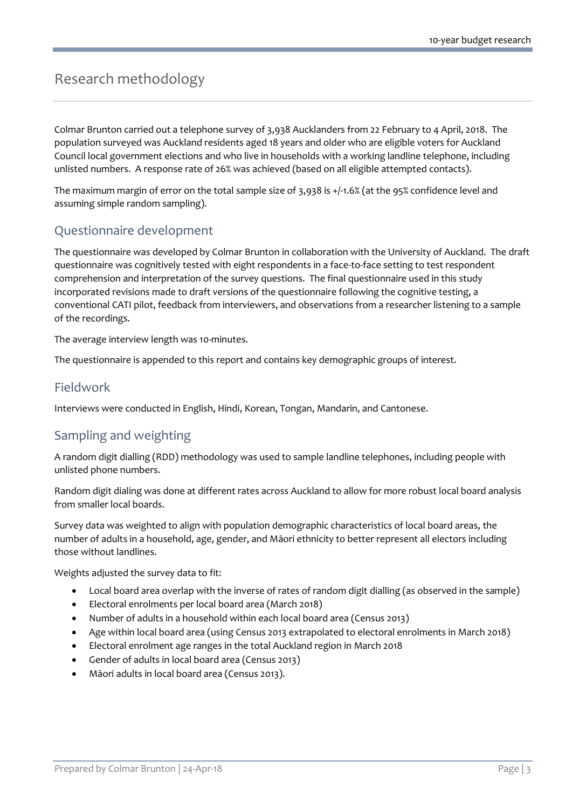# <span id="page-4-0"></span>Research methodology

Colmar Brunton carried out a telephone survey of 3,938 Aucklanders from 22 February to 4 April, 2018. The population surveyed was Auckland residents aged 18 years and older who are eligible voters for Auckland Council local government elections and who live in households with a working landline telephone, including unlisted numbers. A response rate of 26% was achieved (based on all eligible attempted contacts).

The maximum margin of error on the total sample size of 3,938 is +/-1.6% (at the 95% confidence level and assuming simple random sampling).

### Questionnaire development

The questionnaire was developed by Colmar Brunton in collaboration with the University of Auckland. The draft questionnaire was cognitively tested with eight respondents in a face-to-face setting to test respondent comprehension and interpretation of the survey questions. The final questionnaire used in this study incorporated revisions made to draft versions of the questionnaire following the cognitive testing, a conventional CATI pilot, feedback from interviewers, and observations from a researcher listening to a sample of the recordings.

The average interview length was 10-minutes.

The questionnaire is appended to this report and contains key demographic groups of interest.

### Fieldwork

Interviews were conducted in English, Hindi, Korean, Tongan, Mandarin, and Cantonese.

### Sampling and weighting

A random digit dialling (RDD) methodology was used to sample landline telephones, including people with unlisted phone numbers.

Random digit dialing was done at different rates across Auckland to allow for more robust local board analysis from smaller local boards.

Survey data was weighted to align with population demographic characteristics of local board areas, the number of adults in a household, age, gender, and Māori ethnicity to better represent all electors including those without landlines.

Weights adjusted the survey data to fit:

- Local board area overlap with the inverse of rates of random digit dialling (as observed in the sample)
- Electoral enrolments per local board area (March 2018)
- Number of adults in a household within each local board area (Census 2013)
- Age within local board area (using Census 2013 extrapolated to electoral enrolments in March 2018)
- Electoral enrolment age ranges in the total Auckland region in March 2018
- Gender of adults in local board area (Census 2013)
- Māori adults in local board area (Census 2013).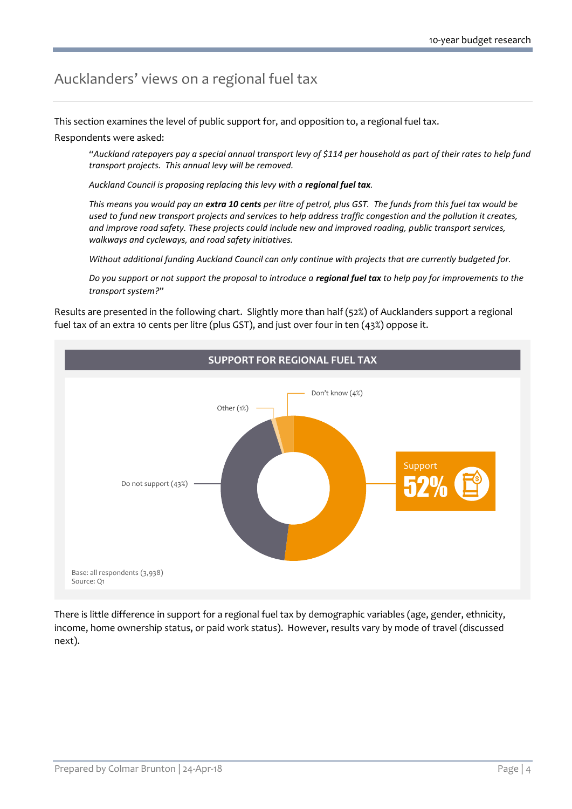# <span id="page-5-0"></span>Aucklanders' views on a regional fuel tax

This section examines the level of public support for, and opposition to, a regional fuel tax.

#### Respondents were asked:

*"Auckland ratepayers pay a special annual transport levy of \$114 per household as part of their rates to help fund transport projects. This annual levy will be removed.*

Auckland Council is proposing replacing this levy with a **regional fuel tax**.

*This means you would pay an extra 10 cents per litre of petrol, plus GST. The funds from this fuel tax would be used to fund new transport projects and services to help address traffic congestion and the pollution it creates, and improve road safety. These projects could include new and improved roading, public transport services, walkways and cycleways, and road safety initiatives.*

*Without additional funding Auckland Council can only continue with projects that are currently budgeted for.*

*Do you support or not support the proposal to introduce a regional fuel tax to help pay for improvements to the transport system?"*

Results are presented in the following chart. Slightly more than half (52%) of Aucklanders support a regional fuel tax of an extra 10 cents per litre (plus GST), and just over four in ten (43%) oppose it.



There is little difference in support for a regional fuel tax by demographic variables (age, gender, ethnicity, income, home ownership status, or paid work status). However, results vary by mode of travel (discussed next).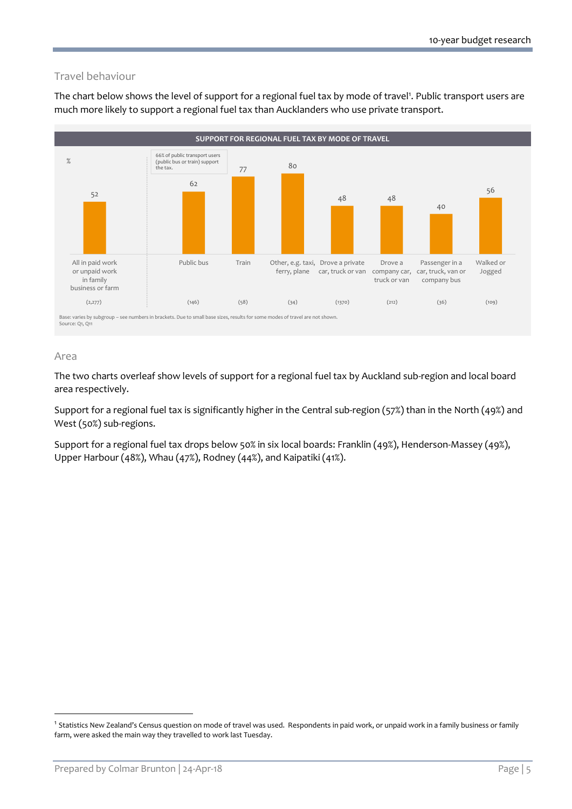### Travel behaviour

The chart below shows the level of support for a regional fuel tax by mode of travel<sup>1</sup>. Public transport users are much more likely to support a regional fuel tax than Aucklanders who use private transport.



#### Area

-

The two charts overleaf show levels of support for a regional fuel tax by Auckland sub-region and local board area respectively.

Support for a regional fuel tax is significantly higher in the Central sub-region (57%) than in the North (49%) and West (50%) sub-regions.

Support for a regional fuel tax drops below 50% in six local boards: Franklin (49%), Henderson-Massey (49%), Upper Harbour (48%), Whau (47%), Rodney (44%), and Kaipatiki (41%).

<sup>&</sup>lt;sup>1</sup> Statistics New Zealand's Census question on mode of travel was used. Respondents in paid work, or unpaid work in a family business or family farm, were asked the main way they travelled to work last Tuesday.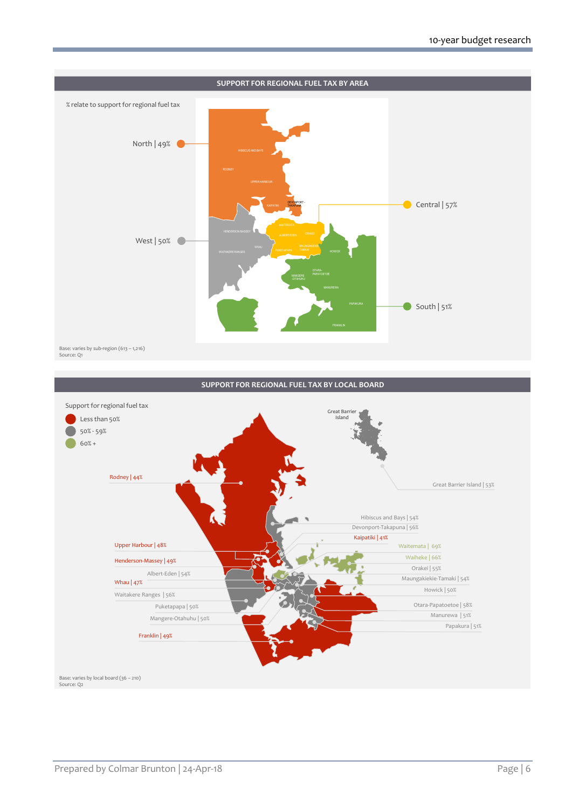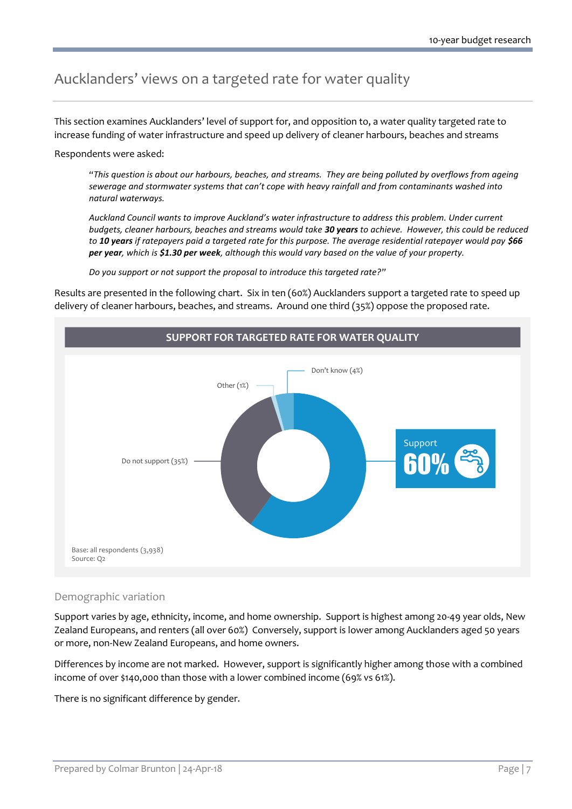# <span id="page-8-0"></span>Aucklanders' views on a targeted rate for water quality

This section examines Aucklanders' level of support for, and opposition to, a water quality targeted rate to increase funding of water infrastructure and speed up delivery of cleaner harbours, beaches and streams

Respondents were asked:

*"This question is about our harbours, beaches, and streams. They are being polluted by overflows from ageing sewerage and stormwater systems that can't cope with heavy rainfall and from contaminants washed into natural waterways.* 

*Auckland Council wants to improve Auckland's water infrastructure to address this problem. Under current budgets, cleaner harbours, beaches and streams would take 30 years to achieve. However, this could be reduced to 10 years if ratepayers paid a targeted rate for this purpose. The average residential ratepayer would pay \$66 per year, which is \$1.30 per week, although this would vary based on the value of your property.* 

*Do you support or not support the proposal to introduce this targeted rate?"*

Results are presented in the following chart. Six in ten (60%) Aucklanders support a targeted rate to speed up delivery of cleaner harbours, beaches, and streams. Around one third (35%) oppose the proposed rate.



#### Demographic variation

Support varies by age, ethnicity, income, and home ownership. Support is highest among 20-49 year olds, New Zealand Europeans, and renters (all over 60%) Conversely, support is lower among Aucklanders aged 50 years or more, non-New Zealand Europeans, and home owners.

Differences by income are not marked. However, support is significantly higher among those with a combined income of over \$140,000 than those with a lower combined income (69% vs 61%).

There is no significant difference by gender.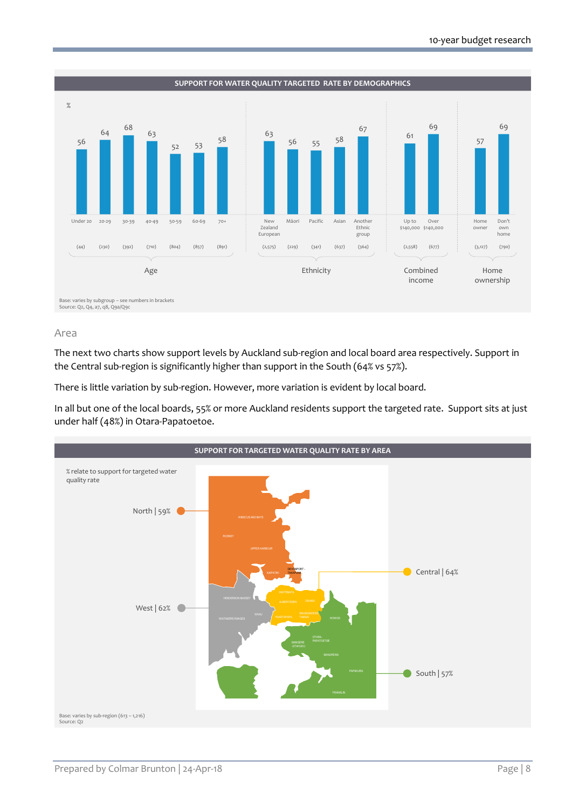

#### Area

The next two charts show support levels by Auckland sub-region and local board area respectively. Support in the Central sub-region is significantly higher than support in the South (64% vs 57%).

There is little variation by sub-region. However, more variation is evident by local board.

In all but one of the local boards, 55% or more Auckland residents support the targeted rate. Support sits at just under half (48%) in Otara-Papatoetoe.

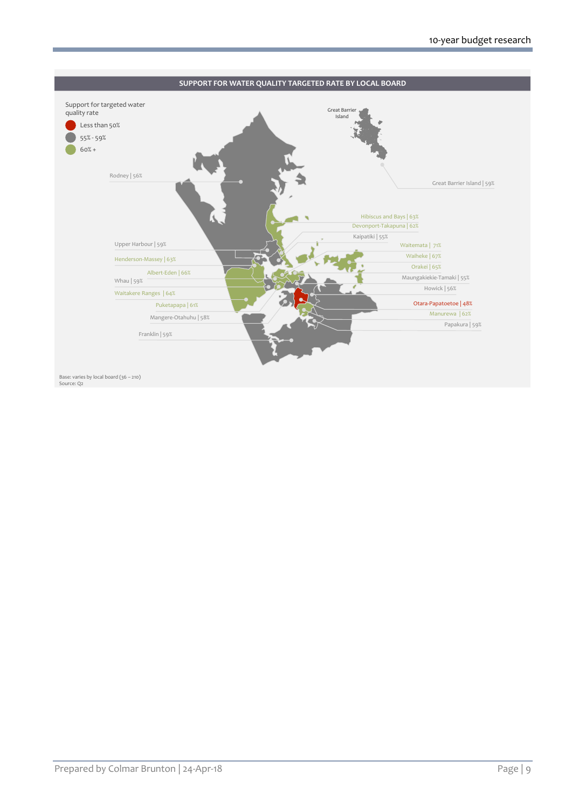

Base: varies by local board (36 – 210) Source: Q2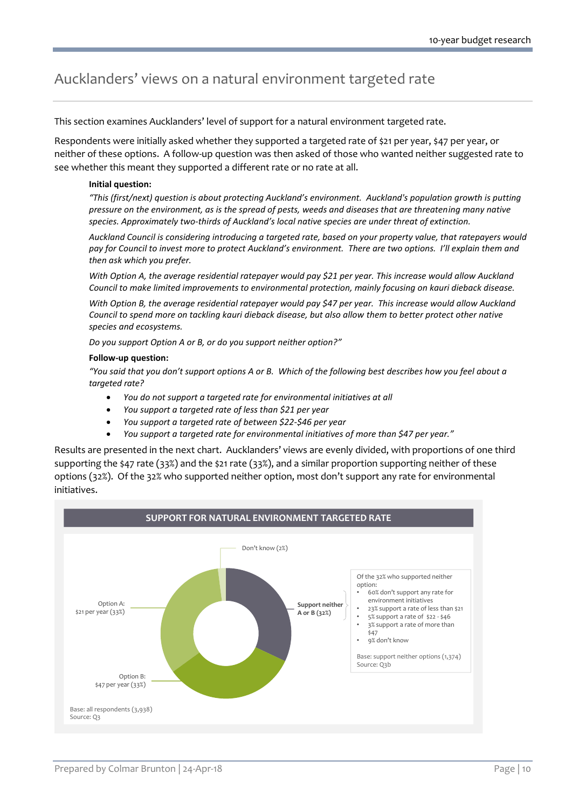# <span id="page-11-0"></span>Aucklanders' views on a natural environment targeted rate

This section examines Aucklanders' level of support for a natural environment targeted rate.

Respondents were initially asked whether they supported a targeted rate of \$21 per year, \$47 per year, or neither of these options. A follow-up question was then asked of those who wanted neither suggested rate to see whether this meant they supported a different rate or no rate at all.

#### **Initial question:**

*"This (first/next) question is about protecting Auckland's environment. Auckland's population growth is putting pressure on the environment, as is the spread of pests, weeds and diseases that are threatening many native species. Approximately two-thirds of Auckland's local native species are under threat of extinction.* 

*Auckland Council is considering introducing a targeted rate, based on your property value, that ratepayers would pay for Council to invest more to protect Auckland's environment. There are two options. I'll explain them and then ask which you prefer.*

*With Option A, the average residential ratepayer would pay \$21 per year. This increase would allow Auckland Council to make limited improvements to environmental protection, mainly focusing on kauri dieback disease.*

*With Option B, the average residential ratepayer would pay \$47 per year. This increase would allow Auckland Council to spend more on tackling kauri dieback disease, but also allow them to better protect other native species and ecosystems.*

*Do you support Option A or B, or do you support neither option?"*

#### **Follow-up question:**

*"You said that you don't support options A or B. Which of the following best describes how you feel about a targeted rate?*

- *You do not support a targeted rate for environmental initiatives at all*
- *You support a targeted rate of less than \$21 per year*
- *You support a targeted rate of between \$22-\$46 per year*
- *You support a targeted rate for environmental initiatives of more than \$47 per year."*

Results are presented in the next chart. Aucklanders' views are evenly divided, with proportions of one third supporting the \$47 rate (33%) and the \$21 rate (33%), and a similar proportion supporting neither of these options (32%). Of the 32% who supported neither option, most don't support any rate for environmental initiatives.

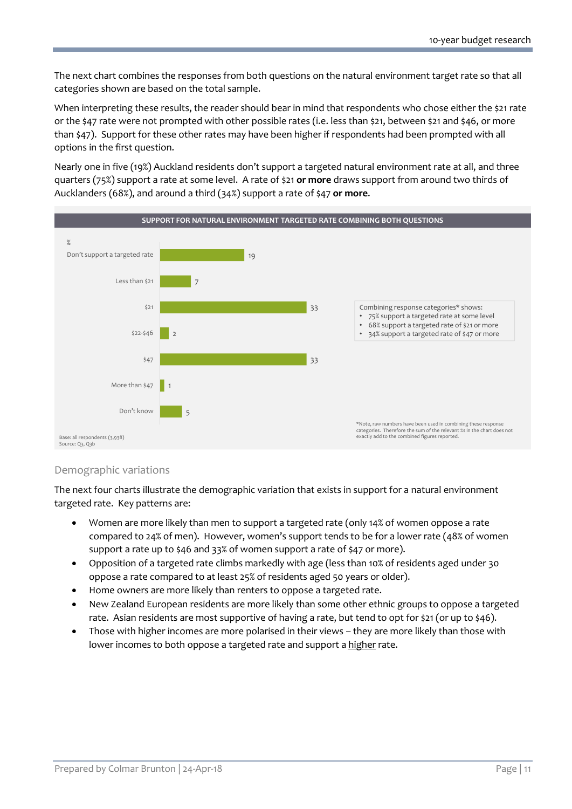The next chart combines the responses from both questions on the natural environment target rate so that all categories shown are based on the total sample.

When interpreting these results, the reader should bear in mind that respondents who chose either the \$21 rate or the \$47 rate were not prompted with other possible rates (i.e. less than \$21, between \$21 and \$46, or more than \$47). Support for these other rates may have been higher if respondents had been prompted with all options in the first question.

Nearly one in five (19%) Auckland residents don't support a targeted natural environment rate at all, and three quarters (75%) support a rate at some level. A rate of \$21 **or more** draws support from around two thirds of Aucklanders (68%), and around a third (34%) support a rate of \$47 **or more**.



#### Demographic variations

The next four charts illustrate the demographic variation that exists in support for a natural environment targeted rate. Key patterns are:

- Women are more likely than men to support a targeted rate (only 14% of women oppose a rate compared to 24% of men). However, women's support tends to be for a lower rate (48% of women support a rate up to \$46 and 33% of women support a rate of \$47 or more).
- Opposition of a targeted rate climbs markedly with age (less than 10% of residents aged under 30 oppose a rate compared to at least 25% of residents aged 50 years or older).
- Home owners are more likely than renters to oppose a targeted rate.
- New Zealand European residents are more likely than some other ethnic groups to oppose a targeted rate. Asian residents are most supportive of having a rate, but tend to opt for \$21 (or up to \$46).
- Those with higher incomes are more polarised in their views they are more likely than those with lower incomes to both oppose a targeted rate and support a higher rate.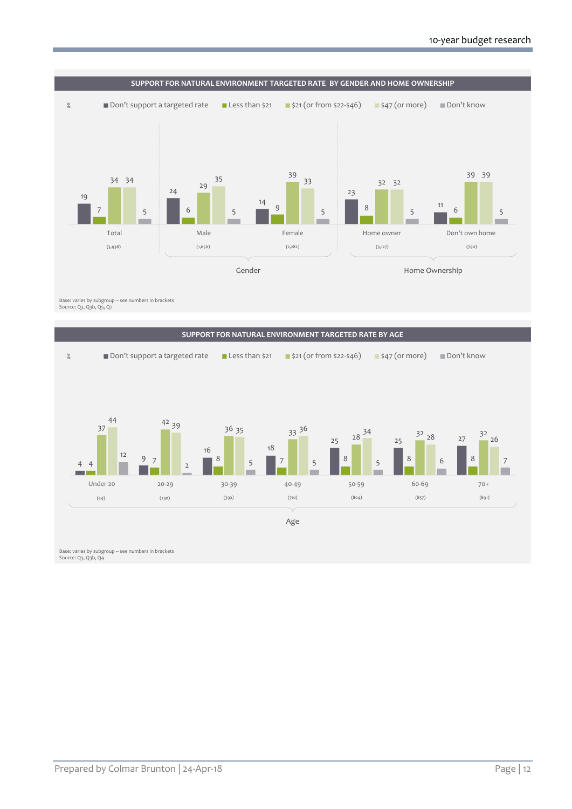

Base: varies by subgroup – see numbers in brackets Source: Q3, Q3b, Q5, Q7

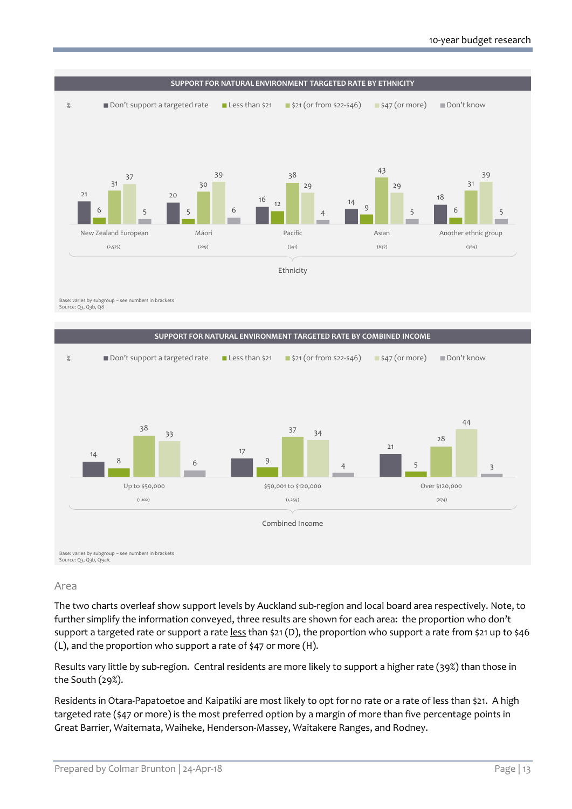

Source: Q3, Q3b, Q8



#### Area

The two charts overleaf show support levels by Auckland sub-region and local board area respectively. Note, to further simplify the information conveyed, three results are shown for each area: the proportion who don't support a targeted rate or support a rate less than \$21 (D), the proportion who support a rate from \$21 up to \$46 (L), and the proportion who support a rate of \$47 or more (H).

Results vary little by sub-region. Central residents are more likely to support a higher rate (39%) than those in the South (29%).

Residents in Otara-Papatoetoe and Kaipatiki are most likely to opt for no rate or a rate of less than \$21. A high targeted rate (\$47 or more) is the most preferred option by a margin of more than five percentage points in Great Barrier, Waitemata, Waiheke, Henderson-Massey, Waitakere Ranges, and Rodney.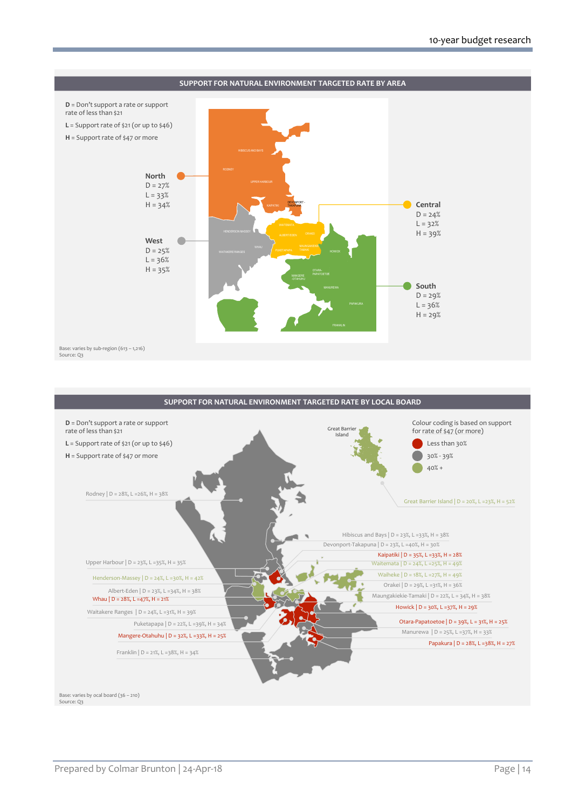

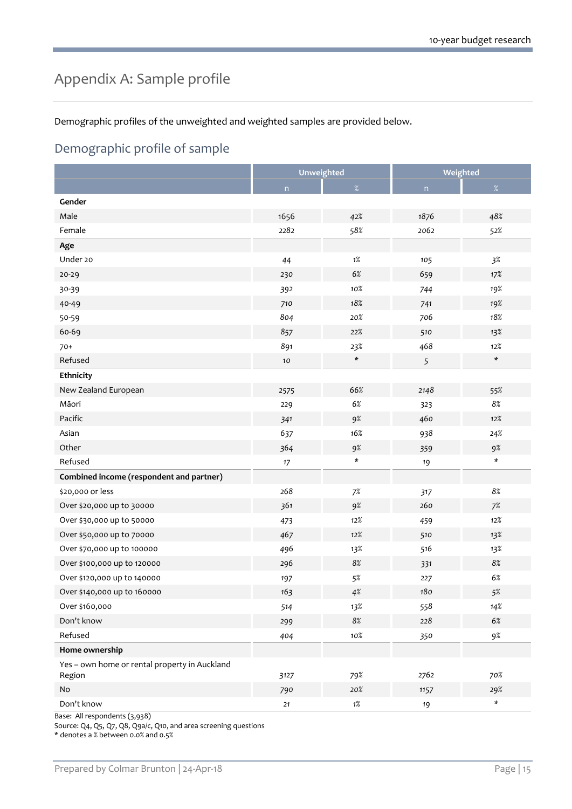# <span id="page-16-0"></span>Appendix A: Sample profile

Demographic profiles of the unweighted and weighted samples are provided below.

### Demographic profile of sample

|                                                         | <b>Unweighted</b> |         | Weighted |               |
|---------------------------------------------------------|-------------------|---------|----------|---------------|
|                                                         | n                 | $\%$    | n        | %             |
| Gender                                                  |                   |         |          |               |
| Male                                                    | 1656              | 42%     | 1876     | 48%           |
| Female                                                  | 2282              | 58%     | 2062     | 52%           |
| Age                                                     |                   |         |          |               |
| Under 20                                                | 44                | $1\%$   | 105      | $3\%$         |
| 20-29                                                   | 230               | $6\%$   | 659      | 17%           |
| 30-39                                                   | 392               | $10\%$  | 744      | 19%           |
| 40-49                                                   | 710               | 18%     | 741      | 19%           |
| 50-59                                                   | 804               | 20%     | 706      | 18%           |
| 60-69                                                   | 857               | 22%     | 510      | 13%           |
| $70+$                                                   | 891               | 23%     | 468      | $12\%$        |
| Refused                                                 | 10                | $\star$ | 5        | $\star$       |
| Ethnicity                                               |                   |         |          |               |
| New Zealand European                                    | 2575              | 66%     | 2148     | 55%           |
| Māori                                                   | 229               | 6%      | 323      | $8\%$         |
| Pacific                                                 | 341               | 9%      | 460      | 12%           |
| Asian                                                   | 637               | 16%     | 938      | $24\%$        |
| Other                                                   | 364               | 9%      | 359      | 9%            |
| Refused                                                 | $17$              | $\star$ | 19       | $\star$       |
| Combined income (respondent and partner)                |                   |         |          |               |
| \$20,000 or less                                        | 268               | $7\%$   | 317      | 8%            |
| Over \$20,000 up to 30000                               | 361               | 9%      | 260      | 7%            |
| Over \$30,000 up to 50000                               | 473               | 12%     | 459      | 12%           |
| Over \$50,000 up to 70000                               | 467               | 12%     | 510      | 13%           |
| Over \$70,000 up to 100000                              | 496               | 13%     | 516      | 13%           |
| Over \$100,000 up to 120000                             | 296               | $8\%$   | 331      | 8%            |
| Over \$120,000 up to 140000                             | 197               | $5\%$   | 227      | $6\%$         |
| Over \$140,000 up to 160000                             | 163               | $4\%$   | 180      | $5\%$         |
| Over \$160,000                                          | 514               | 13%     | 558      | 14%           |
| Don't know                                              | 299               | $8\%$   | 228      | $6\%$         |
| Refused                                                 | 404               | $10\%$  | 350      | 9%            |
| Home ownership                                          |                   |         |          |               |
| Yes - own home or rental property in Auckland<br>Region | 3127              | 79%     | 2762     | 70%           |
| $\mathsf{No}$                                           | 790               | 20%     | 1157     | 29%           |
| Don't know                                              | 21                | $1\%$   | $19$     | $\pmb{\star}$ |

Base: All respondents (3,938)

Source: Q4, Q5, Q7, Q8, Q9a/c, Q10, and area screening questions

\* denotes a % between 0.0% and 0.5%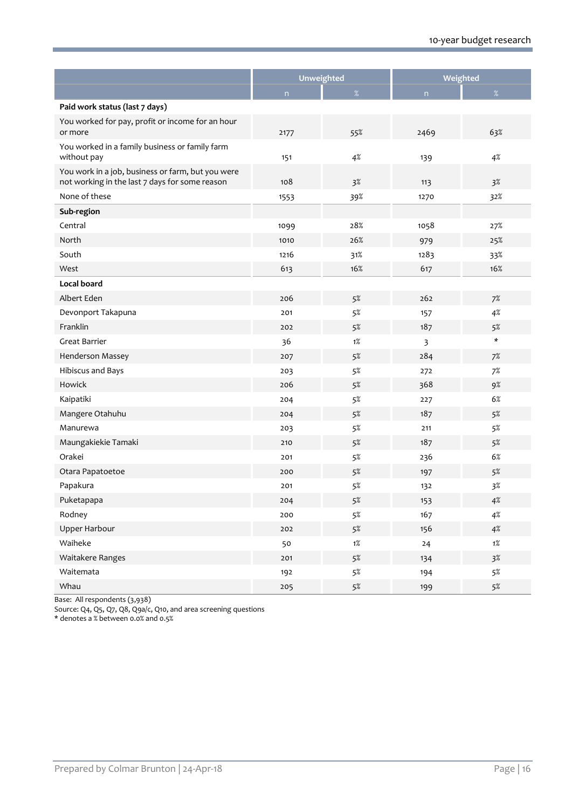|                                                                                                     | Unweighted |       | Weighted |         |
|-----------------------------------------------------------------------------------------------------|------------|-------|----------|---------|
|                                                                                                     | n          | %     | n        | %       |
| Paid work status (last 7 days)                                                                      |            |       |          |         |
| You worked for pay, profit or income for an hour<br>or more                                         | 2177       | 55%   | 2469     | 63%     |
| You worked in a family business or family farm<br>without pay                                       | 151        | 4%    | 139      | 4%      |
| You work in a job, business or farm, but you were<br>not working in the last 7 days for some reason | 108        | 3%    | 113      | 3%      |
| None of these                                                                                       | 1553       | 39%   | 1270     | 32%     |
| Sub-region                                                                                          |            |       |          |         |
| Central                                                                                             | 1099       | 28%   | 1058     | 27%     |
| North                                                                                               | 1010       | 26%   | 979      | 25%     |
| South                                                                                               | 1216       | 31%   | 1283     | 33%     |
| West                                                                                                | 613        | 16%   | 617      | 16%     |
| Local board                                                                                         |            |       |          |         |
| Albert Eden                                                                                         | 206        | 5%    | 262      | 7%      |
| Devonport Takapuna                                                                                  | 201        | 5%    | 157      | 4%      |
| Franklin                                                                                            | 202        | 5%    | 187      | 5%      |
| Great Barrier                                                                                       | 36         | $1\%$ | 3        | $\star$ |
| Henderson Massey                                                                                    | 207        | 5%    | 284      | 7%      |
| Hibiscus and Bays                                                                                   | 203        | 5%    | 272      | 7%      |
| Howick                                                                                              | 206        | 5%    | 368      | 9%      |
| Kaipatiki                                                                                           | 204        | 5%    | 227      | 6%      |
| Mangere Otahuhu                                                                                     | 204        | 5%    | 187      | 5%      |
| Manurewa                                                                                            | 203        | 5%    | 211      | 5%      |
| Maungakiekie Tamaki                                                                                 | 210        | 5%    | 187      | 5%      |
| Orakei                                                                                              | 201        | 5%    | 236      | 6%      |
| Otara Papatoetoe                                                                                    | 200        | 5%    | 197      | 5%      |
| Papakura                                                                                            | 201        | 5%    | 132      | 3%      |
| Puketapapa                                                                                          | 204        | $5\%$ | 153      | $4\%$   |
| Rodney                                                                                              | 200        | $5\%$ | 167      | 4%      |
| <b>Upper Harbour</b>                                                                                | 202        | $5\%$ | 156      | 4%      |
| Waiheke                                                                                             | 50         | $1\%$ | 24       | $1\%$   |
| Waitakere Ranges                                                                                    | 201        | $5\%$ | 134      | 3%      |
| Waitemata                                                                                           | 192        | $5\%$ | 194      | $5\%$   |
| Whau                                                                                                | 205        | $5\%$ | 199      | $5\%$   |

Base: All respondents (3,938)

Source: Q4, Q5, Q7, Q8, Q9a/c, Q10, and area screening questions

\* denotes a % between 0.0% and 0.5%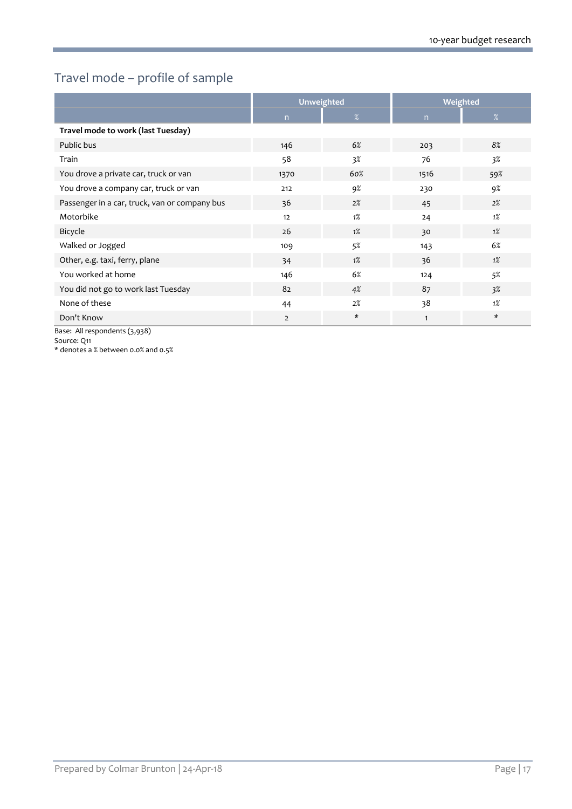## Travel mode – profile of sample

|                                               |                | Unweighted |              | Weighted |
|-----------------------------------------------|----------------|------------|--------------|----------|
|                                               | n              | %          | n            | $\%$     |
| Travel mode to work (last Tuesday)            |                |            |              |          |
| Public bus                                    | 146            | 6%         | 203          | 8%       |
| Train                                         | 58             | $3\%$      | 76           | $3\%$    |
| You drove a private car, truck or van         | 1370           | 60%        | 1516         | 59%      |
| You drove a company car, truck or van         | 212            | 9%         | 230          | 9%       |
| Passenger in a car, truck, van or company bus | 36             | 2%         | 45           | 2%       |
| Motorbike                                     | 12             | 1%         | 24           | $1\%$    |
| Bicycle                                       | 26             | $1\%$      | 30           | $1\%$    |
| Walked or Jogged                              | 109            | 5%         | 143          | 6%       |
| Other, e.g. taxi, ferry, plane                | 34             | $1\%$      | 36           | $1\%$    |
| You worked at home                            | 146            | 6%         | 124          | 5%       |
| You did not go to work last Tuesday           | 82             | 4%         | 87           | 3%       |
| None of these                                 | 44             | 2%         | 38           | $1\%$    |
| Don't Know                                    | $\overline{2}$ | $\ast$     | $\mathbf{1}$ | *        |
| Base: All respondents (3,938)                 |                |            |              |          |

Source: Q11

\* denotes a % between 0.0% and 0.5%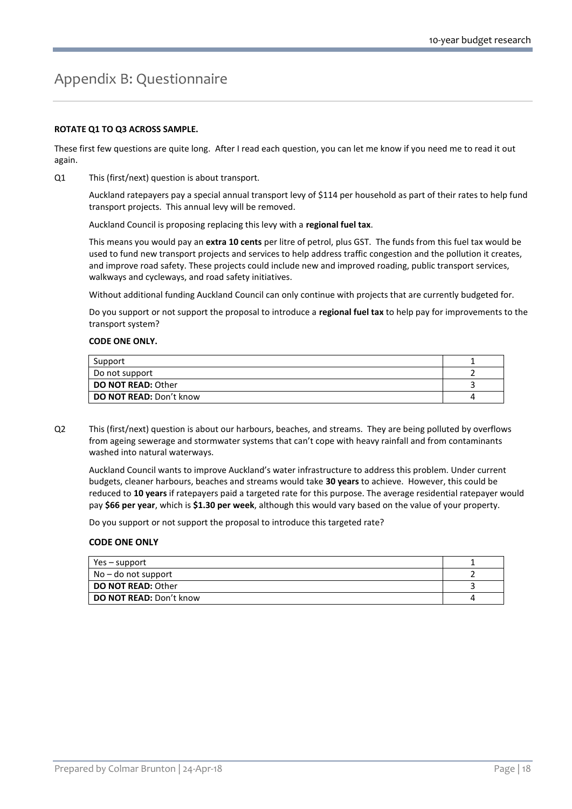# <span id="page-19-0"></span>Appendix B: Questionnaire

#### **ROTATE Q1 TO Q3 ACROSS SAMPLE.**

These first few questions are quite long. After I read each question, you can let me know if you need me to read it out again.

Q1 This (first/next) question is about transport.

Auckland ratepayers pay a special annual transport levy of \$114 per household as part of their rates to help fund transport projects. This annual levy will be removed.

Auckland Council is proposing replacing this levy with a **regional fuel tax**.

This means you would pay an **extra 10 cents** per litre of petrol, plus GST. The funds from this fuel tax would be used to fund new transport projects and services to help address traffic congestion and the pollution it creates, and improve road safety. These projects could include new and improved roading, public transport services, walkways and cycleways, and road safety initiatives.

Without additional funding Auckland Council can only continue with projects that are currently budgeted for.

Do you support or not support the proposal to introduce a **regional fuel tax** to help pay for improvements to the transport system?

#### **CODE ONE ONLY.**

| Support                        |  |
|--------------------------------|--|
| Do not support                 |  |
| <b>DO NOT READ: Other</b>      |  |
| <b>DO NOT READ: Don't know</b> |  |

Q2 This (first/next) question is about our harbours, beaches, and streams. They are being polluted by overflows from ageing sewerage and stormwater systems that can't cope with heavy rainfall and from contaminants washed into natural waterways.

Auckland Council wants to improve Auckland's water infrastructure to address this problem. Under current budgets, cleaner harbours, beaches and streams would take **30 years** to achieve. However, this could be reduced to **10 years** if ratepayers paid a targeted rate for this purpose. The average residential ratepayer would pay **\$66 per year**, which is **\$1.30 per week**, although this would vary based on the value of your property.

Do you support or not support the proposal to introduce this targeted rate?

#### **CODE ONE ONLY**

| Yes – support                  |  |
|--------------------------------|--|
| $No$ – do not support          |  |
| <b>DO NOT READ: Other</b>      |  |
| <b>DO NOT READ: Don't know</b> |  |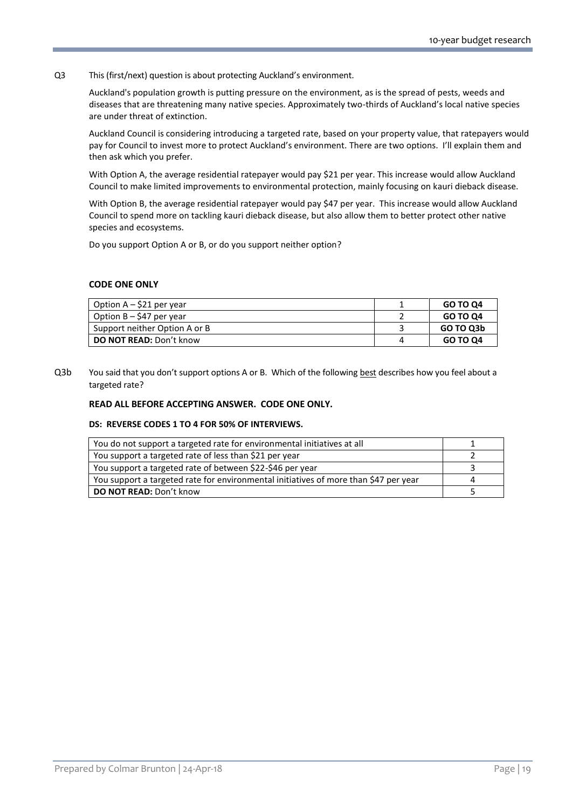#### Q3 This (first/next) question is about protecting Auckland's environment.

Auckland's population growth is putting pressure on the environment, as is the spread of pests, weeds and diseases that are threatening many native species. Approximately two-thirds of Auckland's local native species are under threat of extinction.

Auckland Council is considering introducing a targeted rate, based on your property value, that ratepayers would pay for Council to invest more to protect Auckland's environment. There are two options. I'll explain them and then ask which you prefer.

With Option A, the average residential ratepayer would pay \$21 per year. This increase would allow Auckland Council to make limited improvements to environmental protection, mainly focusing on kauri dieback disease.

With Option B, the average residential ratepayer would pay \$47 per year. This increase would allow Auckland Council to spend more on tackling kauri dieback disease, but also allow them to better protect other native species and ecosystems.

Do you support Option A or B, or do you support neither option?

#### **CODE ONE ONLY**

| Option $A - $21$ per year      | GO TO Q4  |
|--------------------------------|-----------|
| Option $B - $47$ per year      | GO TO Q4  |
| Support neither Option A or B  | GO TO Q3b |
| <b>DO NOT READ:</b> Don't know | GO TO Q4  |

Q3b You said that you don't support options A or B. Which of the following best describes how you feel about a targeted rate?

#### **READ ALL BEFORE ACCEPTING ANSWER. CODE ONE ONLY.**

#### **DS: REVERSE CODES 1 TO 4 FOR 50% OF INTERVIEWS.**

| You do not support a targeted rate for environmental initiatives at all              |  |
|--------------------------------------------------------------------------------------|--|
| You support a targeted rate of less than \$21 per year                               |  |
| You support a targeted rate of between \$22-\$46 per year                            |  |
| You support a targeted rate for environmental initiatives of more than \$47 per year |  |
| <b>DO NOT READ: Don't know</b>                                                       |  |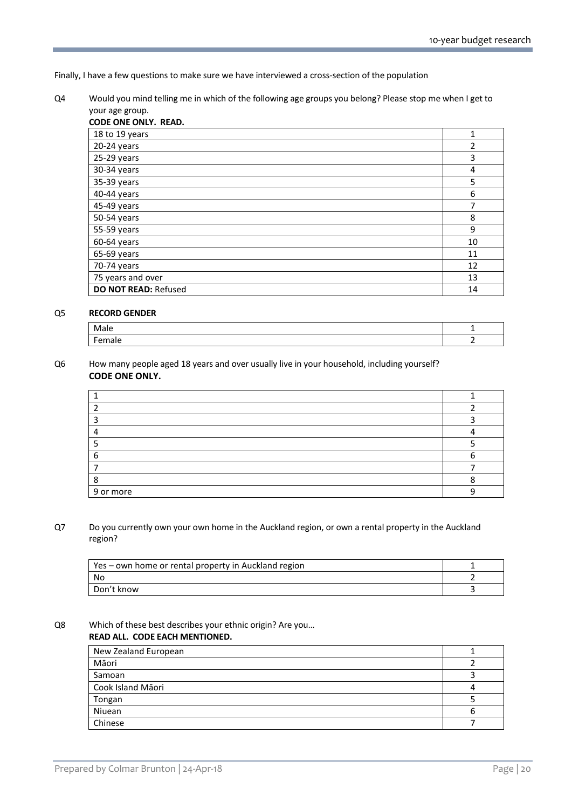Finally, I have a few questions to make sure we have interviewed a cross-section of the population

Q4 Would you mind telling me in which of the following age groups you belong? Please stop me when I get to your age group.

| CODE ONE ONLY. READ.        |    |
|-----------------------------|----|
| 18 to 19 years              | 1  |
| $20-24$ years               | 2  |
| $25-29$ years               | 3  |
| 30-34 years                 | 4  |
| 35-39 years                 | 5  |
| 40-44 years                 | 6  |
| 45-49 years                 | 7  |
| 50-54 years                 | 8  |
| 55-59 years                 | 9  |
| $60-64$ years               | 10 |
| $65-69$ years               | 11 |
| 70-74 years                 | 12 |
| 75 years and over           | 13 |
| <b>DO NOT READ: Refused</b> | 14 |

#### Q5 **RECORD GENDER**

| Male   |  |
|--------|--|
| Female |  |

#### Q6 How many people aged 18 years and over usually live in your household, including yourself? **CODE ONE ONLY.**

| 9 or more |  |
|-----------|--|

#### Q7 Do you currently own your own home in the Auckland region, or own a rental property in the Auckland region?

| Yes – own home or rental property in Auckland region |  |
|------------------------------------------------------|--|
| No                                                   |  |
| Don't know                                           |  |

### Q8 Which of these best describes your ethnic origin? Are you…

#### **READ ALL. CODE EACH MENTIONED.**

| New Zealand European |  |
|----------------------|--|
| Māori                |  |
| Samoan               |  |
| Cook Island Māori    |  |
| Tongan               |  |
| Niuean               |  |
| Chinese              |  |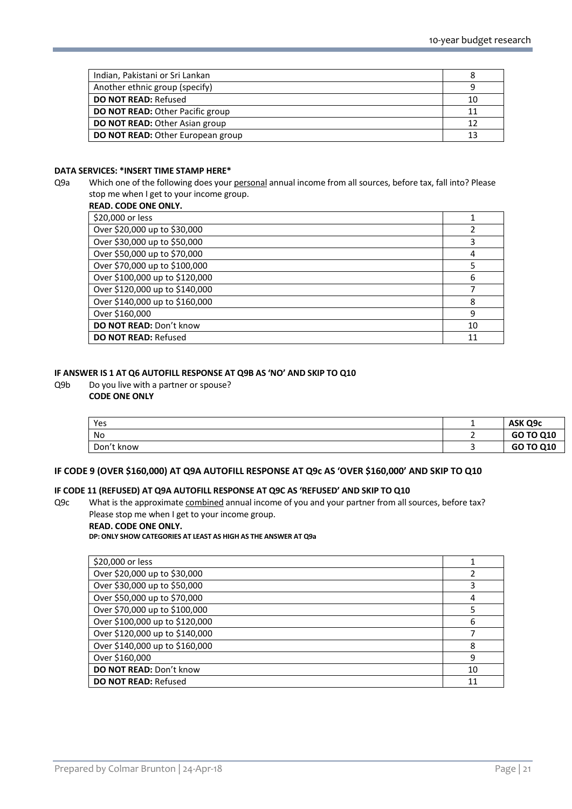| Indian, Pakistani or Sri Lankan         |    |
|-----------------------------------------|----|
| Another ethnic group (specify)          |    |
| <b>DO NOT READ: Refused</b>             | 10 |
| <b>DO NOT READ: Other Pacific group</b> | 11 |
| <b>DO NOT READ: Other Asian group</b>   | 12 |
| DO NOT READ: Other European group       | 13 |

#### **DATA SERVICES: \*INSERT TIME STAMP HERE\***

Q9a Which one of the following does your personal annual income from all sources, before tax, fall into? Please stop me when I get to your income group.

|  | <b>READ. CODE ONE ONLY.</b> |  |
|--|-----------------------------|--|
|  |                             |  |

| \$20,000 or less               |    |
|--------------------------------|----|
| Over \$20,000 up to \$30,000   |    |
| Over \$30,000 up to \$50,000   | 3  |
| Over \$50,000 up to \$70,000   | 4  |
| Over \$70,000 up to \$100,000  |    |
| Over \$100,000 up to \$120,000 | 6  |
| Over \$120,000 up to \$140,000 |    |
| Over \$140,000 up to \$160,000 | 8  |
| Over \$160,000                 | 9  |
| DO NOT READ: Don't know        | 10 |
| <b>DO NOT READ: Refused</b>    | 11 |

#### **IF ANSWER IS 1 AT Q6 AUTOFILL RESPONSE AT Q9B AS 'NO' AND SKIP TO Q10**

### Q9b Do you live with a partner or spouse?

#### **CODE ONE ONLY**

| Yes        |   | ASK Q9c   |
|------------|---|-----------|
| No         |   | GO TO Q10 |
| Don't know | - | GO TO Q10 |

#### **IF CODE 9 (OVER \$160,000) AT Q9A AUTOFILL RESPONSE AT Q9c AS 'OVER \$160,000' AND SKIP TO Q10**

#### **IF CODE 11 (REFUSED) AT Q9A AUTOFILL RESPONSE AT Q9C AS 'REFUSED' AND SKIP TO Q10**

Q9c What is the approximate combined annual income of you and your partner from all sources, before tax? Please stop me when I get to your income group.

#### **READ. CODE ONE ONLY.**

**DP: ONLY SHOW CATEGORIES AT LEAST AS HIGH AS THE ANSWER AT Q9a**

| \$20,000 or less               |    |
|--------------------------------|----|
| Over \$20,000 up to \$30,000   | 2  |
| Over \$30,000 up to \$50,000   | 3  |
| Over \$50,000 up to \$70,000   | 4  |
| Over \$70,000 up to \$100,000  | 5  |
| Over \$100,000 up to \$120,000 | 6  |
| Over \$120,000 up to \$140,000 |    |
| Over \$140,000 up to \$160,000 | 8  |
| Over \$160,000                 | 9  |
| <b>DO NOT READ: Don't know</b> | 10 |
| <b>DO NOT READ: Refused</b>    | 11 |
|                                |    |